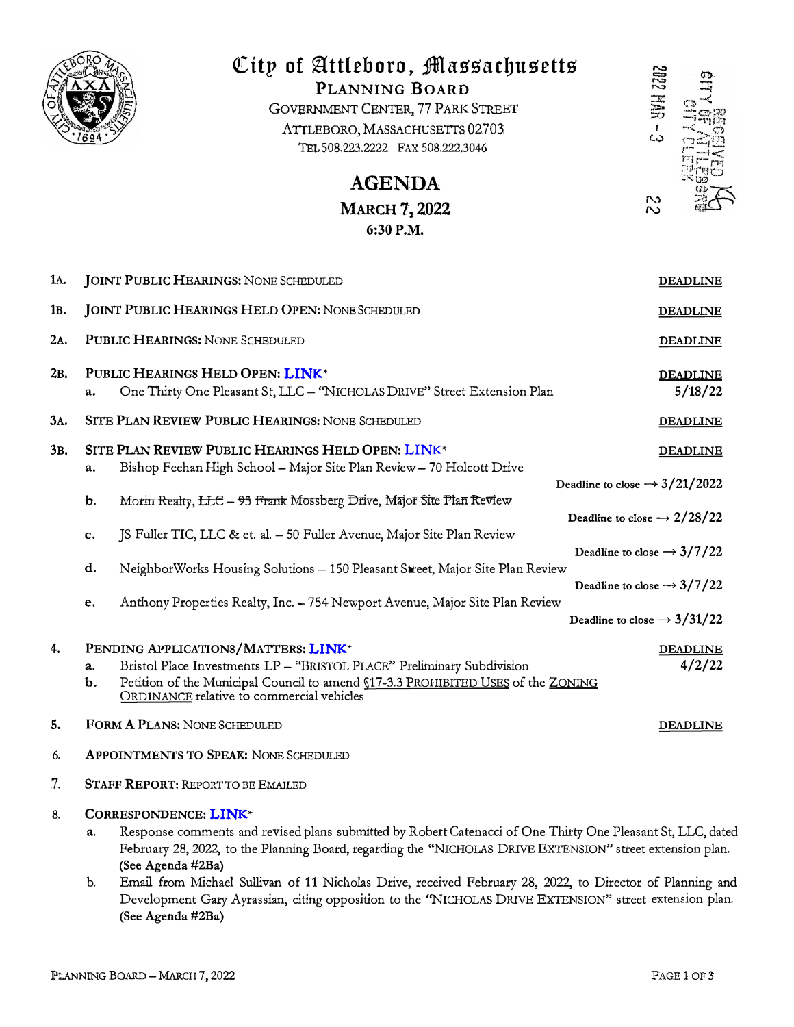

# City of Attleboro, Massachusetts

PLANNING BOARD GOVERNMENT CENTER, 77 PARK STREET ATTLEBORO, MASSACHUSETTS 02703 TEL 508.223.2222 FAX 508.222.3046



**MARCH 7, 2022** 6:30 P.M.

**AGENDA** 

| 1A. |                                           | <b>JOINT PUBLIC HEARINGS: NONE SCHEDULED</b>                                                                                  | <b>DEADLINE</b>                           |  |
|-----|-------------------------------------------|-------------------------------------------------------------------------------------------------------------------------------|-------------------------------------------|--|
| 1в. |                                           | <b>JOINT PUBLIC HEARINGS HELD OPEN: NONE SCHEDULED</b>                                                                        | <b>DEADLINE</b>                           |  |
| 2A. |                                           | PUBLIC HEARINGS: NONE SCHEDULED                                                                                               | <b>DEADLINE</b>                           |  |
| 2в. |                                           | PUBLIC HEARINGS HELD OPEN: LINK*                                                                                              | <b>DEADLINE</b>                           |  |
|     | a.                                        | One Thirty One Pleasant St, LLC - "NICHOLAS DRIVE" Street Extension Plan                                                      | 5/18/22                                   |  |
| ЗΑ. |                                           | SITE PLAN REVIEW PUBLIC HEARINGS: NONE SCHEDULED                                                                              | <b>DEADLINE</b>                           |  |
| 3B. |                                           | SITE PLAN REVIEW PUBLIC HEARINGS HELD OPEN: LINK*<br>Bishop Feehan High School - Major Site Plan Review - 70 Holcott Drive    | <b>DEADLINE</b>                           |  |
|     | a.                                        |                                                                                                                               | Deadline to close $\rightarrow$ 3/21/2022 |  |
|     | b.                                        | Morin Realty, LLC - 95 Frank Mossberg Drive, Major Site Plan Review                                                           | Deadline to close $\rightarrow$ 2/28/22   |  |
|     | c.                                        | JS Fuller TIC, LLC & et. al. - 50 Fuller Avenue, Major Site Plan Review                                                       |                                           |  |
|     |                                           |                                                                                                                               | Deadline to close $\rightarrow$ 3/7/22    |  |
|     | d.                                        | NeighborWorks Housing Solutions - 150 Pleasant Street, Major Site Plan Review                                                 | Deadline to close $\rightarrow$ 3/7/22    |  |
|     | e.                                        | Anthony Properties Realty, Inc. - 754 Newport Avenue, Major Site Plan Review                                                  |                                           |  |
|     |                                           |                                                                                                                               | Deadline to close $\rightarrow$ 3/31/22   |  |
| 4.  | PENDING APPLICATIONS/MATTERS: LINK*       |                                                                                                                               | <b>DEADLINE</b>                           |  |
|     | a.                                        | Bristol Place Investments LP - "BRISTOL PLACE" Preliminary Subdivision                                                        | 4/2/22                                    |  |
|     | b.                                        | Petition of the Municipal Council to amend (17-3.3 PROHIBITED USES of the ZONING<br>ORDINANCE relative to commercial vehicles |                                           |  |
| 5.  |                                           | FORM A PLANS: NONE SCHEDULED<br><b>DEADLINE</b>                                                                               |                                           |  |
| 6.  | APPOINTMENTS TO SPEAK: NONE SCHEDULED     |                                                                                                                               |                                           |  |
| 7.  | <b>STAFF REPORT: REPORT TO BE EMAILED</b> |                                                                                                                               |                                           |  |

- CORRESPONDENCE: LINK\* 8.
	- Response comments and revised plans submitted by Robert Catenacci of One Thirty One Pleasant St, LLC, dated a. February 28, 2022, to the Planning Board, regarding the "NICHOLAS DRIVE EXTENSION" street extension plan. (See Agenda #2Ba)
	- Email from Michael Sullivan of 11 Nicholas Drive, received February 28, 2022, to Director of Planning and  $\mathbf{b}$ . Development Gary Ayrassian, citing opposition to the "NICHOLAS DRIVE EXTENSION" street extension plan. (See Agenda #2Ba)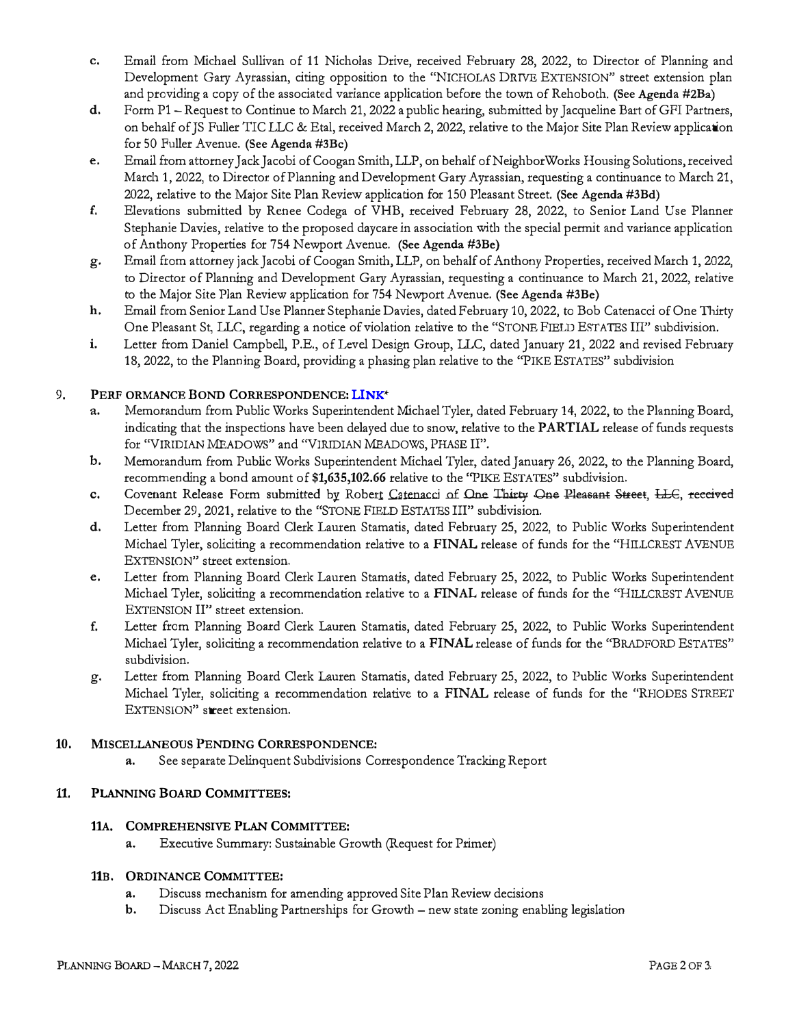- c. Email from Michael Sullivan of 11 Nicholas Drive, received February 28, 2022, to Director of Planning and Development Gary Ayrassian, citing opposition to the "NICHOLAS DRIVE EXTENSION" street extension plan and providing a copy of the associated variance application before the town of Rehoboth. (See Agenda #2Ba)
- d. Form P1 Request to Continue to March 21, 2022 a public hearing, submitted by Jacqueline Bart of GFI Partners, on behalf of JS Fuller TIC LLC & Eta!, received March 2, 2022, relative to the Major Site Plan Review application for 50 Fuller Avenue. (See Agenda #3Bc)
- e. Email from attorney Jack Jacobi of Coogan Smith, LLP, on behalf of NeighborWorks Housing Solutions, received March 1, 2022, to Director of Planning and Development Gary Ayrassian, requesting a continuance to March 21, 2022, relative to the Major Site Plan Review application for 150 Pleasant Street. (See Agenda #3Bd)
- f. Elevations submitted by Renee Codega of VHB, received February 28, 2022, to Senior Land Use Planner Stephanie Davies, relative to the proposed daycare in association with the special permit and variance application of Anthony Properties for 754 Newport Avenue. (See Agenda #3Be)
- g. Email from attorney jack Jacobi of Coogan Smith, LLP, on behalf of Anthony Properties, received March 1, 2022, to Director of Planning and Development Gary Ayrassian, requesting a continuance to March 21, 2022, relative to the Major Site Plan Review application for 754 Newport Avenue. (See Agenda #3Be)
- h. Email from Senior Land Use Planner Stephanie Davies, dated February 10, 2022, to Bob Catenacci of One Thirty One Pleasant St, LLC, regarding a notice of violation relative to the "STONE FIELD ESTATES III" subdivision.
- i. Letter from Daniel Campbell, P.E., of Level Design Group, LLC, dated January 21, 2022 and revised February 18, 2022, to the Planning Board, providing a phasing plan relative to the "PIKE ESTATES" subdivision

# 9. PERF ORMANCE BOND CORRESPONDENCE: [LINK](https://drive.google.com/drive/folders/1WBEr8oT0F3PJJPncTyxJr-fhQER2Nq9O?usp=sharing)**\***

- **a.** Memorandum from Public Works Superintendent Michael Tyler, dated Februaq 14, 2022, to the Planning Board, indicating that the inspections have been delayed due to snow, relative to the PARTIAL release of funds requests for "VIRIDIAN MEADOWS" and ''VIRIDIAN MEADOWS, PHASE II".
- b. Memorandum from Public Works Superintendent Michael Tyler, dated January 26, 2022, to the Planning Board, recommending a bond amount of **\$1,635,102.66** relative to the "PIKE ESTATES" subdivision.
- **c.** Covenant Release Form submitted by Robert Catenacci of One Thirty One Pleasant Street, LLC, received December 29, 2021, relative to the "STONE FIELD ESTATES III" subdivision.
- d. Letter from Planning Board Clerk Lauren Stamatis, dated February 25, 2022, to Public Works Superintendent Michael Tyler, soliciting a recommendation relative to a FINAL release of funds for the "HILLCREST AVENUE EXTENSION'' **street extension.**
- e. Letter from Planning Board Clerk Lauren Stamatis, dated February 25, 2022, to Public Works Superintendent Michael Tyler, soliciting a recommendation relative to a FINAL release of funds for the "HILLCREST AVENUE EXTENSION II" street extension.
- f. Letter from Planning Board Clerk Lauren Stamatis, dated February 25, 2022, to Public Works Superintendent Michael Tyler, soliciting a recommendation relative to a FINAL release of funds for the "BRADFORD ESTATES" subdivision.
- g. Letter from Planning Board Clerk Lauren Stamatis, dated February 25, 2022, to Public Works Superintendent Michael Tyler, soliciting a recommendation relative to a FINAL release of funds for the "RHODES STREET EXTENSION" **street extension.**

## **10.** MISCELLANEOUS PENDING CORRESPONDENCE:

**a.** See separate Delinquent Subdivisions Correspondence Tracking Report

## 11. PLANNING BOARD COMMITTEES:

## 11A. COMPREHENSIVE PLAN COMMITTEE:

**a.** Executive Summary: Sustainable Growth (Request for Primer)

#### 11B. ORDINANCE COMMITTEE:

- **a.** Discuss mechanism for amending approved Site Plan Review decisions
- b. Discuss Act Enabling Partnerships for Growth new state zoning enabling legislation